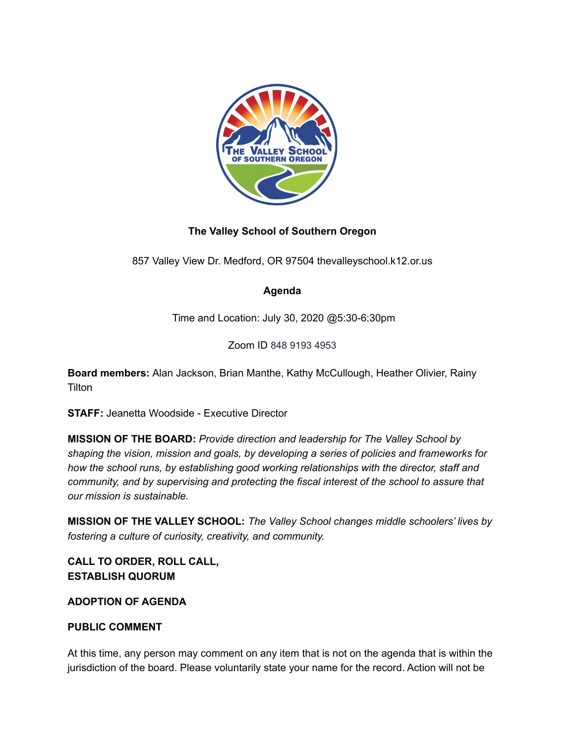

# **The Valley School of Southern Oregon**

857 Valley View Dr. Medford, OR 97504 thevalleyschool.k12.or.us

## **Agenda**

Time and Location: July 30, 2020 @5:30-6:30pm

Zoom ID 848 9193 4953

**Board members:** Alan Jackson, Brian Manthe, Kathy McCullough, Heather Olivier, Rainy **Tilton** 

**STAFF:** Jeanetta Woodside - Executive Director

**MISSION OF THE BOARD:** *Provide direction and leadership for The Valley School by shaping the vision, mission and goals, by developing a series of policies and frameworks for how the school runs, by establishing good working relationships with the director, staff and community, and by supervising and protecting the fiscal interest of the school to assure that our mission is sustainable.*

**MISSION OF THE VALLEY SCHOOL:** *The Valley School changes middle schoolers' lives by fostering a culture of curiosity, creativity, and community.*

**CALL TO ORDER, ROLL CALL, ESTABLISH QUORUM**

### **ADOPTION OF AGENDA**

### **PUBLIC COMMENT**

At this time, any person may comment on any item that is not on the agenda that is within the jurisdiction of the board. Please voluntarily state your name for the record. Action will not be